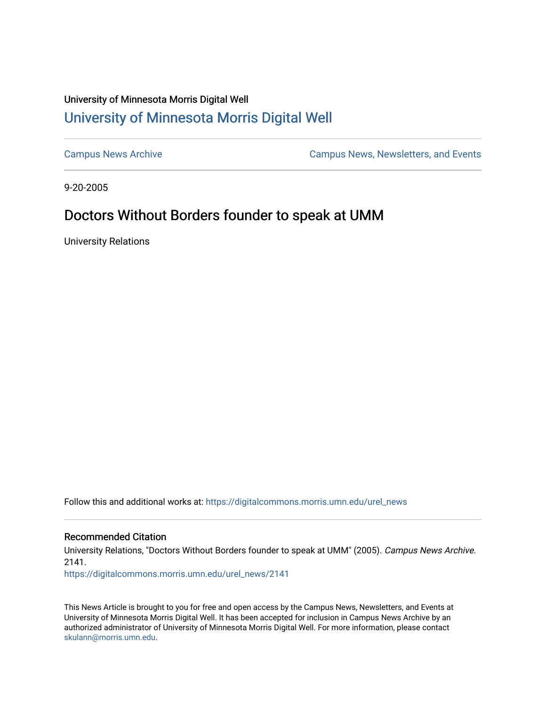## University of Minnesota Morris Digital Well [University of Minnesota Morris Digital Well](https://digitalcommons.morris.umn.edu/)

[Campus News Archive](https://digitalcommons.morris.umn.edu/urel_news) [Campus News, Newsletters, and Events](https://digitalcommons.morris.umn.edu/externalrel) 

9-20-2005

## Doctors Without Borders founder to speak at UMM

University Relations

Follow this and additional works at: [https://digitalcommons.morris.umn.edu/urel\\_news](https://digitalcommons.morris.umn.edu/urel_news?utm_source=digitalcommons.morris.umn.edu%2Furel_news%2F2141&utm_medium=PDF&utm_campaign=PDFCoverPages) 

## Recommended Citation

University Relations, "Doctors Without Borders founder to speak at UMM" (2005). Campus News Archive. 2141.

[https://digitalcommons.morris.umn.edu/urel\\_news/2141](https://digitalcommons.morris.umn.edu/urel_news/2141?utm_source=digitalcommons.morris.umn.edu%2Furel_news%2F2141&utm_medium=PDF&utm_campaign=PDFCoverPages) 

This News Article is brought to you for free and open access by the Campus News, Newsletters, and Events at University of Minnesota Morris Digital Well. It has been accepted for inclusion in Campus News Archive by an authorized administrator of University of Minnesota Morris Digital Well. For more information, please contact [skulann@morris.umn.edu.](mailto:skulann@morris.umn.edu)